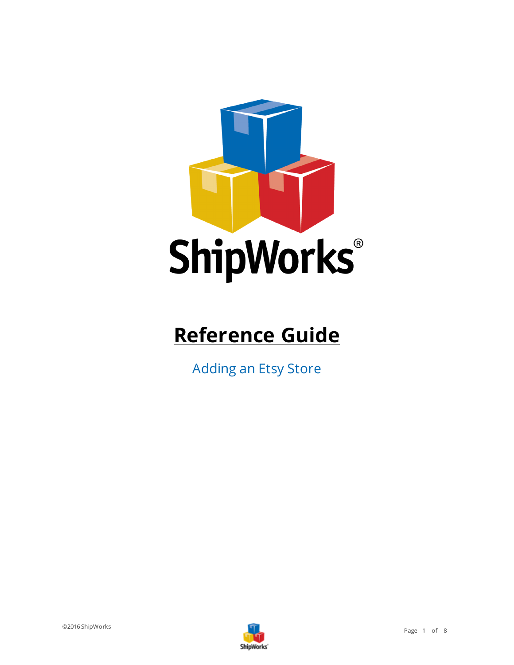

# **Reference Guide**

Adding an Etsy Store

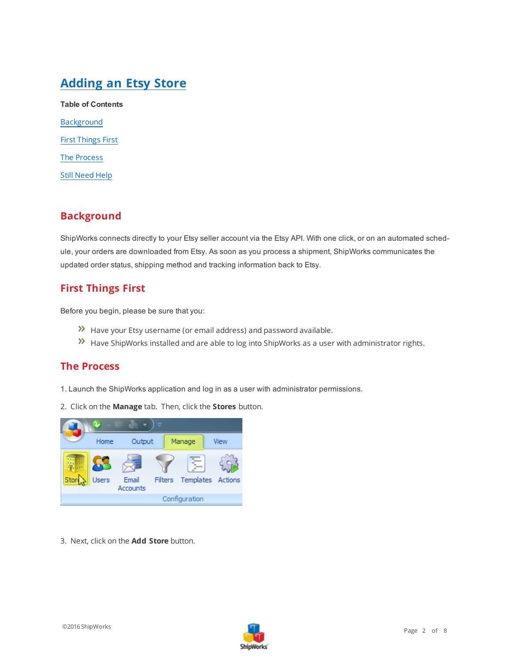# **Adding an Etsy Store**

**Table of Contents** [Background](#page-1-0) First [Things](#page-1-1) First The [Process](#page-1-2) Still [Need](#page-7-0) Help

### <span id="page-1-0"></span>**Background**

ShipWorks connects directly to your Etsy seller account via the Etsy API. With one click, or on an automated schedule, your orders are downloaded from Etsy. As soon as you process a shipment, ShipWorks communicates the updated order status, shipping method and tracking information back to Etsy.

#### <span id="page-1-1"></span>**First Things First**

Before you begin, please be sure that you:

- Have your Etsy username (or email address) and password available.
- <span id="page-1-2"></span>Have ShipWorks installed and are able to log into ShipWorks as a user with administrator rights.

#### **The Process**

- 1. Launch the ShipWorks application and log in as a user with administrator permissions.
- 2. Click on the **Manage** tab. Then, click the **Stores** button.



3. Next, click on the **Add Store** button.

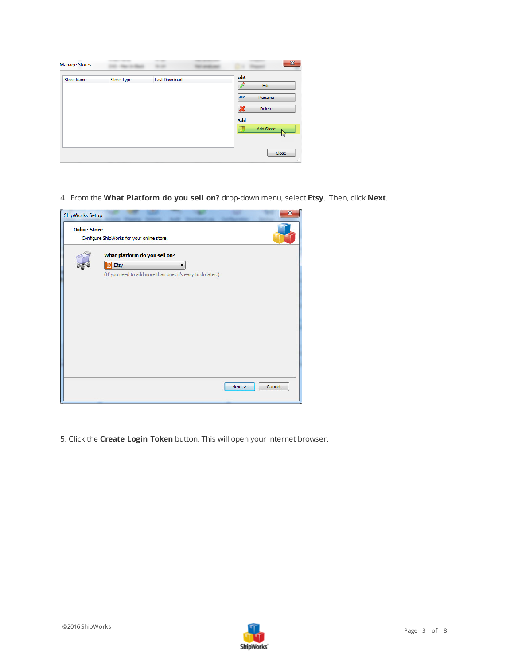| <b>Manage Stores</b> |            |               | $\mathbf{x}$                                   |
|----------------------|------------|---------------|------------------------------------------------|
| <b>Store Name</b>    | Store Type | Last Download | Edit<br>Edit<br><b>ABC</b><br>Rename<br>Delete |
|                      |            |               | Ж<br>Add<br>Add Store<br>B.<br>M               |
|                      |            |               | Close<br>лÍ                                    |

4. From the **What Platform do you sell on?** drop-down menu, select **Etsy**. Then, click **Next**.



5. Click the **Create Login Token** button. This will open your internet browser.

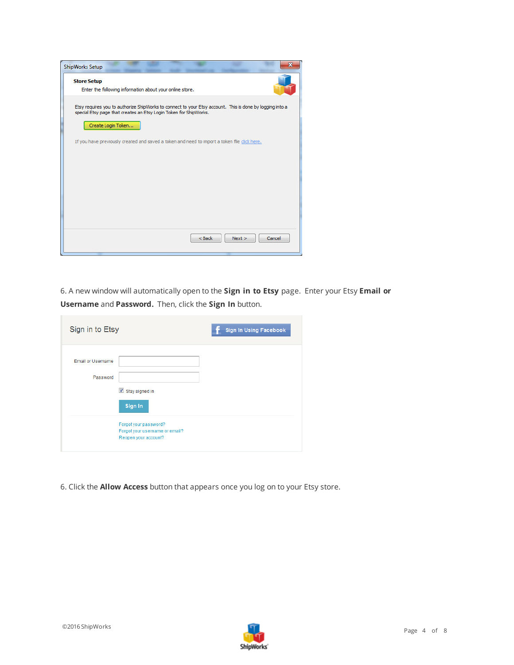

6. A new window will automatically open to the **Sign in to Etsy** page. Enter your Etsy **Email or Username** and **Password.** Then, click the **Sign In** button.

| Sign in to Etsy                                                                                                                                      | <b>Sign In Using Facebook</b> |
|------------------------------------------------------------------------------------------------------------------------------------------------------|-------------------------------|
| <b>Email or Username</b><br>Password<br>Stay signed in<br>Sign In<br>Forgot your password?<br>Forgot your username or email?<br>Reopen your account? |                               |

6. Click the **Allow Access** button that appears once you log on to your Etsy store.

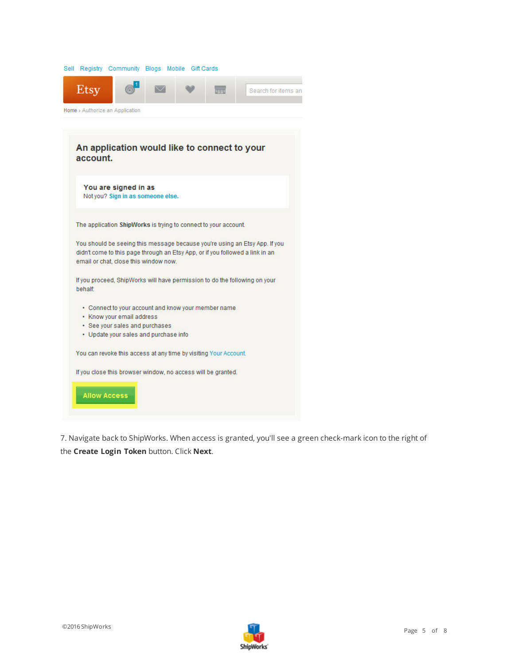|                                                                                                                                                                                                      | Sell Registry Community Blogs Mobile Gift Cards                         |              |  |               |                     |  |  |  |  |
|------------------------------------------------------------------------------------------------------------------------------------------------------------------------------------------------------|-------------------------------------------------------------------------|--------------|--|---------------|---------------------|--|--|--|--|
| Etsy                                                                                                                                                                                                 |                                                                         | $\checkmark$ |  | mmun<br>de Li | Search for items an |  |  |  |  |
|                                                                                                                                                                                                      | Home > Authorize an Application                                         |              |  |               |                     |  |  |  |  |
|                                                                                                                                                                                                      |                                                                         |              |  |               |                     |  |  |  |  |
| account.                                                                                                                                                                                             | An application would like to connect to your                            |              |  |               |                     |  |  |  |  |
|                                                                                                                                                                                                      | You are signed in as<br>Not you? Sign in as someone else.               |              |  |               |                     |  |  |  |  |
|                                                                                                                                                                                                      | The application ShipWorks is trying to connect to your account.         |              |  |               |                     |  |  |  |  |
| You should be seeing this message because you're using an Etsy App. If you<br>didn't come to this page through an Etsy App, or if you followed a link in an<br>email or chat, close this window now. |                                                                         |              |  |               |                     |  |  |  |  |
| If you proceed, ShipWorks will have permission to do the following on your<br><b>behalf:</b>                                                                                                         |                                                                         |              |  |               |                     |  |  |  |  |
| • Connect to your account and know your member name<br>• Know your email address                                                                                                                     |                                                                         |              |  |               |                     |  |  |  |  |
|                                                                                                                                                                                                      | • See your sales and purchases<br>• Update your sales and purchase info |              |  |               |                     |  |  |  |  |
|                                                                                                                                                                                                      | You can revoke this access at any time by visiting Your Account.        |              |  |               |                     |  |  |  |  |
|                                                                                                                                                                                                      | If you close this browser window, no access will be granted.            |              |  |               |                     |  |  |  |  |
|                                                                                                                                                                                                      | <b>Allow Access</b>                                                     |              |  |               |                     |  |  |  |  |

7. Navigate back to ShipWorks. When access is granted, you'll see a green check-mark icon to the right of the **Create Login Token** button. Click **Next**.

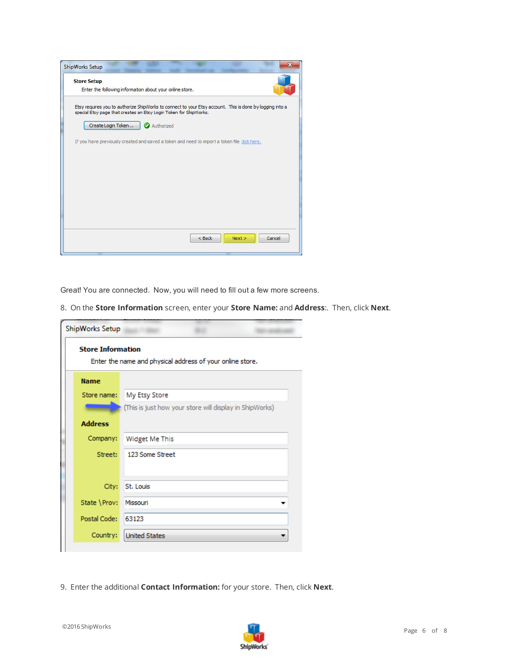| <b>Store Setup</b> |                                                                                                                                                                               |
|--------------------|-------------------------------------------------------------------------------------------------------------------------------------------------------------------------------|
|                    | Enter the following information about your online store.                                                                                                                      |
|                    | Etsy requires you to authorize ShipWorks to connect to your Etsy account. This is done by logging into a<br>special Etsy page that creates an Etsy Login Token for ShipWorks. |
| Create Login Token | Authorized                                                                                                                                                                    |
|                    | If you have previously created and saved a token and need to import a token file dick here.                                                                                   |
|                    |                                                                                                                                                                               |
|                    |                                                                                                                                                                               |
|                    |                                                                                                                                                                               |
|                    |                                                                                                                                                                               |
|                    |                                                                                                                                                                               |
|                    |                                                                                                                                                                               |
|                    |                                                                                                                                                                               |

Great! You are connected. Now, you will need to fill out a few more screens.

8. On the **Store Information** screen, enter your **Store Name:** and **Address**:. Then, click **Next**.

| ShipWorks Setup          |                                                           |
|--------------------------|-----------------------------------------------------------|
| <b>Store Information</b> | Enter the name and physical address of your online store. |
| <b>Name</b>              |                                                           |
| Store name:              | My Etsy Store                                             |
|                          | (This is just how your store will display in ShipWorks)   |
| <b>Address</b>           |                                                           |
| Company:                 | Widget Me This                                            |
| Street:                  | 123 Some Street                                           |
|                          |                                                           |
| City:                    | St. Louis                                                 |
| State \Prov:             | Missouri                                                  |
| Postal Code:             | 63123                                                     |
| Country:                 | <b>United States</b>                                      |
|                          |                                                           |

9. Enter the additional **Contact Information:** for your store. Then, click **Next**.

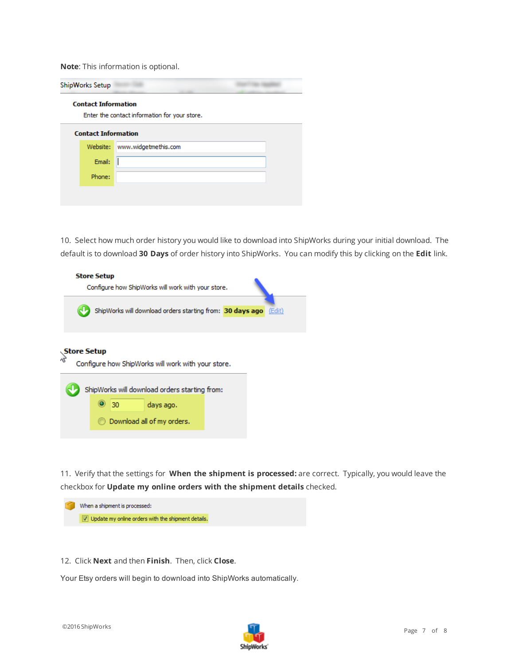**Note**: This information is optional.

| <b>Contact Information</b> | Enter the contact information for your store. |
|----------------------------|-----------------------------------------------|
| <b>Contact Information</b> |                                               |
| Website:                   | www.widgetmethis.com                          |
| Email:                     |                                               |
| Phone:                     |                                               |

10. Select how much order history you would like to download into ShipWorks during your initial download. The default is to download **30 Days** of order history into ShipWorks. You can modify this by clicking on the **Edit** link.

| <b>Store Setup</b><br>Configure how ShipWorks will work with your store. |  |    |                            |                                                                                                     |  |  |  |        |  |
|--------------------------------------------------------------------------|--|----|----------------------------|-----------------------------------------------------------------------------------------------------|--|--|--|--------|--|
|                                                                          |  |    |                            | ShipWorks will download orders starting from: 30 days ago                                           |  |  |  | (Edit) |  |
| <b>Store Setup</b>                                                       |  | 30 | days ago.                  | Configure how ShipWorks will work with your store.<br>ShipWorks will download orders starting from: |  |  |  |        |  |
|                                                                          |  |    | Download all of my orders. |                                                                                                     |  |  |  |        |  |

11. Verify that the settings for **When the shipment is processed:** are correct. Typically, you would leave the checkbox for **Update my online orders with the shipment details** checked.



12. Click **Next** and then **Finish**. Then, click **Close**.

Your Etsy orders will begin to download into ShipWorks automatically.